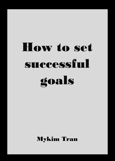## How to set successful goals

Mykim Tran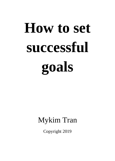# **How to set successful goals**

### Mykim Tran

Copyright 2019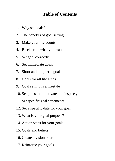#### **Table of Contents**

- 1. Why set goals?
- 2. The benefits of goal setting
- 3. Make your life counts
- 4. Be clear on what you want
- 5. Set goal correctly
- 6. Set immediate goals
- 7. Short and long term goals
- 8. Goals for all life areas
- 9. Goal setting is a lifestyle
- 10. Set goals that motivate and inspire you
- 11. Set specific goal statements
- 12. Set a specific date for your goal
- 13. What is your goal purpose?
- 14. Action steps for your goals
- 15. Goals and beliefs
- 16. Create a vision board
- 17. Reinforce your goals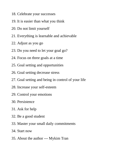- 18. Celebrate your successes
- 19. It is easier than what you think
- 20. Do not limit yourself
- 21. Everything is learnable and achievable
- 22. Adjust as you go
- 23. Do you need to let your goal go?
- 24. Focus on three goals at a time
- 25. Goal setting and opportunities
- 26. Goal setting decrease stress
- 27. Goal setting and being in control of your life
- 28. Increase your self-esteem
- 29. Control your emotions
- 30. Persistence
- 31. Ask for help
- 32. Be a good student
- 33. Master your small daily commitments
- 34. Start now
- 35. About the author --- Mykim Tran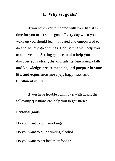#### **1. Why set goals?**

If you have ever felt bored with your life, it is time for you to set some goals. Every day when you wake up you should feel motivated and empowered to do and achieve great things. Goal setting will help you to achieve that. **Setting goals can also help you discover your strengths and talents, learn new skills and knowledge, create meaning and purpose in your life, and experience more joy, happiness, and fulfillment in life.**

If you have trouble coming up with goals, the following questions can help you to get started.

#### **Personal goals**

Do you want to quit smoking?

Do you want to quit drinking alcohol?

Do you want to eat healthier foods?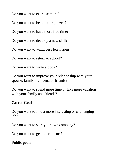Do you want to exercise more?

Do you want to be more organized?

Do you want to have more free time?

Do you want to develop a new skill?

Do you want to watch less television?

Do you want to return to school?

Do you want to write a book?

Do you want to improve your relationship with your spouse, family members, or friends?

Do you want to spend more time or take more vacation with your family and friends?

#### **Career Goals**

Do you want to find a more interesting or challenging job?

Do you want to start your own company?

Do you want to get more clients?

#### **Public goals**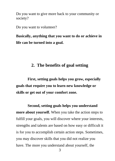Do you want to give more back to your community or society?

Do you want to volunteer?

**Basically, anything that you want to do or achieve in life can be turned into a goal.** 

#### **2. The benefits of goal setting**

**First, setting goals helps you grow, especially goals that require you to learn new knowledge or skills or get out of your comfort zone.** 

**Second, setting goals helps you understand more about yourself.** When you take the action steps to fulfill your goals, you will discover where your interests, strengths and talents are based on how easy or difficult it is for you to accomplish certain action steps. Sometimes, you may discover skills that you did not realize you have. The more you understand about yourself, the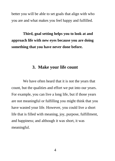better you will be able to set goals that align with who you are and what makes you feel happy and fulfilled.

**Third, goal setting helps you to look at and approach life with new eyes because you are doing something that you have never done before.** 

#### **3. Make your life count**

We have often heard that it is not the years that count, but the qualities and effort we put into our years. For example, you can live a long life, but if those years are not meaningful or fulfilling you might think that you have wasted your life. However, you could live a short life that is filled with meaning, joy, purpose, fulfillment, and happiness; and although it was short, it was meaningful.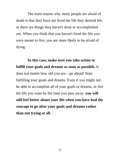The main reason why many people are afraid of death is that they have not lived the life they desired life, or there are things they haven't done or accomplished yet. When you think that you haven't lived the life you were meant to live, you are more likely to be afraid of dying.

**In this case, make sure you take action to fulfill your goals and dreams as soon as possible.** It does not matter how old you are—go ahead! Start fulfilling your goals and dreams. Even if you might not be able to accomplish all of your goals or dreams, or live the life you want by the time you pass away, **you will still feel better about your life when you have had the courage to go after your goals and dreams rather than not trying at all.**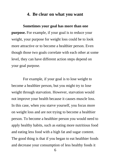#### **4. Be clear on what you want**

**Sometimes your goal has more than one purpose.** For example, if your goal is to reduce your weight, your purpose for weight loss could be to look more attractive or to become a healthier person. Even though those two goals correlate with each other at some level, they can have different action steps depend on your goal purpose.

For example, if your goal is to lose weight to become a healthier person, but you might try to lose weight through starvation. However, starvation would not improve your health because it causes muscle loss. In this case, when you starve yourself, you focus more on weight loss and are not trying to become a healthier person. To become a healthier person you would need to apply healthy habits, such as eating more nutritious food and eating less food with a high fat and sugar content. The good thing is that if you began to eat healthier foods and decrease your consumption of less healthy foods it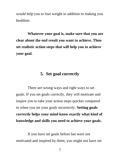would help you to lose weight in addition to making you healthier.

**Whatever your goal is, make sure that you are clear about the end result you want to achieve. Then set realistic action steps that will help you to achieve your goal.** 

#### **5. Set goal correctly**

There are wrong ways and right ways to set goals. If you set goals correctly, they will motivate and inspire you to take your action steps quicker compared to when you set your goals incorrectly. **Setting goals correctly helps your mind know exactly what kind of knowledge and skills you need to achieve your goals.**

If you have set goals before but were not motivated and inspired by them, you might not have set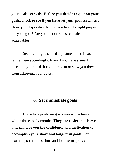your goals correctly. **Before you decide to quit on your goals, check to see if you have set your goal statement clearly and specifically.** Did you have the right purpose for your goal? Are your action steps realistic and achievable?

See if your goals need adjustment, and if so, refine them accordingly. Even if you have a small hiccup in your goal, it could prevent or slow you down from achieving your goals.

#### **6. Set immediate goals**

Immediate goals are goals you will achieve within three to six months. **They are easier to achieve and will give you the confidence and motivation to accomplish your short and long-term goals.** For example, sometimes short and long-term goals could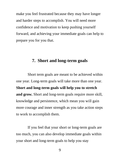make you feel frustrated because they may have longer and harder steps to accomplish. You will need more confidence and motivation to keep pushing yourself forward, and achieving your immediate goals can help to prepare you for you that.

#### **7. Short and long-term goals**

Short term goals are meant to be achieved within one year. Long-term goals will take more than one year. **Short and long-term goals will help you to stretch and grow.** Short and long-term goals require more skill, knowledge and persistence, which mean you will gain more courage and inner strength as you take action steps to work to accomplish them.

If you feel that your short or long-term goals are too much, you can also develop immediate goals within your short and long-term goals to help you stay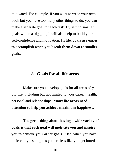motivated. For example, if you want to write your own book but you have too many other things to do, you can make a separate goal for each task. By setting smaller goals within a big goal, it will also help to build your self-confidence and motivation. **In life, goals are easier to accomplish when you break them down to smaller goals.** 

#### **8. Goals for all life areas**

Make sure you develop goals for all areas of y our life, including but not limited to your career, health, personal and relationships. **Many life areas need attention to help you achieve maximum happiness.**

**The great thing about having a wide variety of goals is that each goal will motivate you and inspire you to achieve your other goals.** Also, when you have different types of goals you are less likely to get bored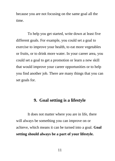because you are not focusing on the same goal all the time.

To help you get started, write down at least five different goals. For example, you could set a goal to exercise to improve your health, to eat more vegetables or fruits, or to drink more water. In your career area, you could set a goal to get a promotion or learn a new skill that would improve your career opportunities or to help you find another job. There are many things that you can set goals for.

#### **9. Goal setting is a lifestyle**

It does not matter where you are in life, there will always be something you can improve on or achieve, which means it can be turned into a goal. **Goal setting should always be a part of your lifestyle.**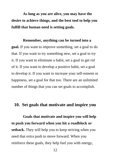**As long as you are alive, you may have the desire to achieve things, and the best tool to help you fulfill that human need is setting goals.** 

#### **Remember, anything can be turned into a**

**goal.** If you want to improve something, set a goal to do that. If you want to try something new, set a goal to try it. If you want to eliminate a habit, set a goal to get rid of it. If you want to develop a positive habit, set a goal to develop it. If you want to increase your self-esteem or happiness, set a goal for that too. There are an unlimited number of things that you can set goals to accomplish.

#### **10. Set goals that motivate and inspire you**

**Goals that motivate and inspire you will help to push you forward when you hit a roadblock or setback.** They will help you to keep striving when you need that extra push to move forward. When you reinforce these goals, they help fuel you with energy,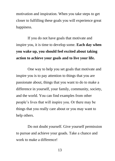motivation and inspiration. When you take steps to get closer to fulfilling these goals you will experience great happiness.

If you do not have goals that motivate and inspire you, it is time to develop some. **Each day when you wake up, you should feel excited about taking action to achieve your goals and to live your life.**

One way to help you set goals that motivate and inspire you is to pay attention to things that you are passionate about, things that you want to do to make a difference in yourself, your family, community, society, and the world. You can find examples from other people's lives that will inspire you. Or there may be things that you really care about or you may want to help others.

Do not doubt yourself. Give yourself permission to pursue and achieve your goads. Take a chance and work to make a difference!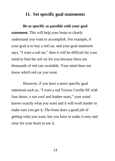#### **11. Set specific goal statements**

**Be as specific as possible with your goal statement.** This will help your brain to clearly understand you want to accomplish. For example, if your goal is to buy a red car, and your goal statement says, "I want a red car," then it will be difficult for your mind to find the red car for you because there are thousands of red cars available. Your mind does not know which red car you want.

However, if you have a more specific goal statement such as, "I want a red Toyota Corolla SE with four doors, a sun roof and leather seats," your mind knows exactly what you want and it will work harder to make sure you get it. The brain does a good job of getting what you want, but you have to make it easy and clear for your brain to see it.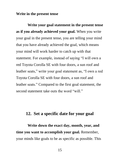#### **Write in the present tense**

**Write your goal statement in the present tense as if you already achieved your goal.** When you write your goal in the present tense, you are telling your mind that you have already achieved the goal, which means your mind will work harder to catch up with that statement. For example, instead of saying "I will own a red Toyota Corolla SE with four doors, a sun roof and leather seats," write your goal statement as, "I own a red Toyota Corolla SE with four doors, a sun roof and leather seats." Compared to the first goal statement, the second statement take outs the word "will."

#### **12. Set a specific date for your goal**

**Write down the exact day, month, year, and time you want to accomplish your goal.** Remember, your minds like goals to be as specific as possible. This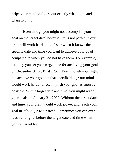helps your mind to figure out exactly what to do and when to do it.

Even though you might not accomplish your goal on the target date, because life is not perfect, your brain will work harder and faster when it knows the specific date and time you want to achieve your goad compared to when you do not have them. For example, let's say you set your target date for achieving your goal on December 31, 2019 at 12pm. Even though you might not achieve your goal on that specific date, your mind would work harder to accomplish your goal as soon as possible. With a target date and time, you might reach your goals on January 31, 2020. Without the target date and time, your brain would work slower and reach your goal in July 31, 2020 instead. Sometimes you can even reach your goal before the target date and time when you set target for it.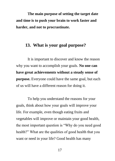**The main purpose of setting the target date and time is to push your brain to work faster and harder, and not to procrastinate.** 

#### **13. What is your goal purpose?**

It is important to discover and know the reason why you want to accomplish your goals. **No one can have great achievements without a steady sense of purpose.** Everyone could have the same goal, but each of us will have a different reason for doing it.

To help you understand the reasons for your goals, think about how your goals will improve your life. For example, even though eating fruits and vegetables will improve or maintain your good health, the most important question is "Why do you need good health?" What are the qualities of good health that you want or need in your life? Good health has many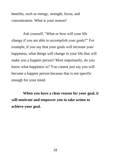benefits, such as energy, strength, focus, and concentration. What is your reason?

Ask yourself, "What or how will your life change if you are able to accomplish your goals?" For example, if you say that your goals will increase your happiness, what things will change in your life that will make you a happier person? Most importantly, do you know what happiness is? You cannot just say you will become a happier person because that is not specific enough for your mind.

**When you have a clear reason for your goal, it will motivate and empower you to take action to achieve your goal.**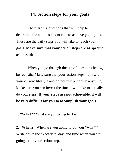#### **14. Action steps for your goals**

There are six questions that will help to determine the action steps to take to achieve your goals. These are the daily steps you will take to reach your goals. **Make sure that your action steps are as specific as possible.** 

When you go through the list of questions below, be realistic. Make sure that your action steps fit in with your current lifestyle and do not just put down anything. Make sure you can invest the time it will take to actually do your steps. **If your steps are not achievable, it will be very difficult for you to accomplish your goals.** 

**1. "What?"** What are you going to do?

**2. "When?"** When are you going to do your "what?" Write down the exact date, day, and time when you are going to do your action step.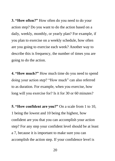**3. "How often?"** How often do you need to do your action step? Do you want to do the action based on a daily, weekly, monthly, or yearly plan? For example, if you plan to exercise on a weekly schedule, how often are you going to exercise each week? Another way to describe this is frequency, the number of times you are going to do the action.

**4. "How much?"** How much time do you need to spend doing your action step? "How much" can also referred to as duration. For example, when you exercise, how long will you exercise for? Is it for 30 or 60 minutes?

**5. "How confident are you?"** On a scale from 1 to 10, 1 being the lowest and 10 being the highest, how confident are you that you can accomplish your action step? For any step your confident level should be at least a 7, because it is important to make sure you can accomplish the action step. If your confidence level is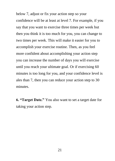below 7, adjust or fix your action step so your confidence will be at least at level 7. For example, if you say that you want to exercise three times per week but then you think it is too much for you, you can change to two times per week. This will make it easier for you to accomplish your exercise routine. Then, as you feel more confident about accomplishing your action step you can increase the number of days you will exercise until you reach your ultimate goal. Or if exercising 60 minutes is too long for you, and your confidence level is ales than 7, then you can reduce your action step to 30 minutes.

**6. "Target Date."** You also want to set a target date for taking your action step.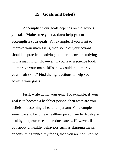#### **15. Goals and beliefs**

Accomplish your goals depends on the actions you take. **Make sure your actions help you to accomplish your goals.** For example, if you want to improve your math skills, then some of your actions should be practicing solving math problems or studying with a math tutor. However, if you read a science book to improve your math skills, how could that improve your math skills? Find the right actions to help you achieve your goals.

First, write down your goal. For example, if your goal is to become a healthier person, then what are your beliefs in becoming a healthier person? For example, some ways to become a healthier person are to develop a healthy diet, exercise, and reduce stress. However, if you apply unhealthy behaviors such as skipping meals or consuming unhealthy foods, then you are not likely to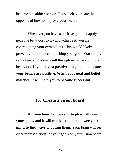become a healthier person. Those behaviors are the opposite of how to improve your health.

Whenever you have a positive goal but apply negative behaviors to try and achieve it, you are contradicting your own beliefs. This would likely prevent you from accomplishing your goal. You simply cannot get a positive result through negative actions or behaviors. **If you have a positive goal, then make sure your beliefs are positive. When your goal and belief matches, it will help you to become successful.** 

#### **16. Create a vision board**

**A vision board allows you to physically see your goals, and it will motivate and empower your mind to find ways to obtain them.** Your brain will see clear representations of your goals on your vision board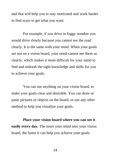and that will help you to stay motivated and work harder to find ways to get what you want.

For example, if you drive in foggy weather you would drive slowly because you cannot see the road clearly. It is the same with your mind. When your goals are not on a vision board, your mind cannot see them as clearly, which makes it more difficult for your mind to find and unleash the right knowledge and skills for you to achieve your goals.

You can use anything on your vision board, to make your goals clear and desirable. You can draw or paste pictures or objects on the board, or use any other method to help you visualize your goals.

**Place your vision board where you can see it easily every day.** The more your mind sees your vision board, the faster it can help you achieve your goals.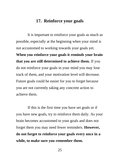#### **17. Reinforce your goals**

It is important to reinforce your goals as much as possible, especially at the beginning when your mind is not accustomed to working towards your goals yet. **When you reinforce your goals it reminds your brain that you are still determined to achieve them.** If you do not reinforce your goals in your mind you may lose track of them, and your motivation level will decrease. Future goals could be easier for you to forget because you are not currently taking any concrete action to achieve them.

If this is the first time you have set goals or if you have new goals, try to reinforce them daily. As your brain becomes accustomed to your goals and does not forget them you may need fewer reminders. **However, do not forget to reinforce your goals every once in a while, to make sure you remember them.**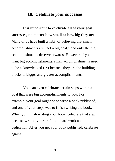#### **18. Celebrate your successes**

**It is important to celebrate all of your goal successes, no matter how small or how big they are.**  Many of us have built a habit of believing that small accomplishments are "not a big deal," and only the big accomplishments deserve rewards. However, if you want big accomplishments, small accomplishments need to be acknowledged first because they are the building blocks to bigger and greater accomplishments.

You can even celebrate certain steps within a goal that were big accomplishments to you. For example, your goal might be to write a book published, and one of your steps was to finish writing the book. When you finish writing your book, celebrate that step because writing your draft took hard work and dedication. After you get your book published, celebrate again!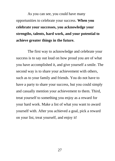As you can see, you could have many opportunities to celebrate your success. **When you celebrate your successes, you acknowledge your strengths, talents, hard work, and your potential to achieve greater things in the future.** 

The first way to acknowledge and celebrate your success is to say out loud on how proud you are of what you have accomplished it, and give yourself a smile. The second way is to share your achievement with others, such as to your family and friends. You do not have to have a party to share your success, but you could simply and casually mention your achievement to them. Third, treat yourself to something you enjoy as a reward for your hard work. Make a list of what you want to award yourself with. After you achieved a goal, pick a reward on your list, treat yourself, and enjoy it!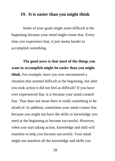#### **19. It is easier than you might think**

Some of your goals might seem difficult at the beginning because your mind might create fear. Every time you experience fear, it just seems harder to accomplish something.

**The good news is that most of the things you want to accomplish might be easier than you might think.** For example, have you ever encountered a situation that seemed difficult at the beginning, but after you took action it did not feel as difficult? If you have ever experienced that, it is because your mind created fear. That does not mean there is really something to be afraid of. In addition, sometimes your mind creates fear because you might not have the skills or knowledge you need at the beginning to become successful. However, when you start taking action, knowledge and skill will manifest to help you become successful. Your mind might not manifest all the knowledge and skills you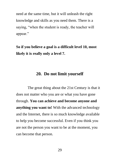need at the same time, but it will unleash the right knowledge and skills as you need them. There is a saying, "when the student is ready, the teacher will appear."

**So if you believe a goal is a difficult level 10, most likely it is really only a level 7.** 

#### **20. Do not limit yourself**

The great thing about the 21st Century is that it does not matter who you are or what you have gone through. **You can achieve and become anyone and anything you want to!** With the advanced technology and the Internet, there is so much knowledge available to help you become successful. Even if you think you are not the person you want to be at the moment, you can become that person.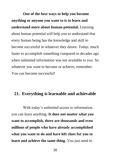**One of the best ways to help you become anything or anyone you want to is to learn and understand more about human potential.** Learning about human potential will help you to understand that every human being has the knowledge and skill to become successful in whatever they desire. Today, much faster to accomplish something compared to decades ago when unlimited information was not available to you. So whatever you want to become or achieve, remember: You can become successful!

#### **21. Everything is learnable and achievable**

With today's unlimited access to information, you can learn anything. **It does not matter what you want to accomplish, there are thousands and even millions of people who have already accomplished what you want to do and have left clues for you to learn and achieve the same thing.** You just need to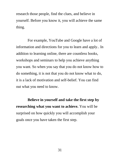research those people, find the clues, and believe in yourself. Before you know it, you will achieve the same thing.

For example, YouTube and Google have a lot of information and directions for you to learn and apply.. In addition to learning online, there are countless books, workshops and seminars to help you achieve anything you want. So when you say that you do not know how to do something, it is not that you do not know what to do, it is a lack of motivation and self-belief. You can find out what you need to know.

**Believe in yourself and take the first step by researching what you want to achieve.** You will be surprised on how quickly you will accomplish your goals once you have taken the first step.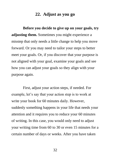#### **22. Adjust as you go**

**Before you decide to give up on your goals, try adjusting them.** Sometimes you might experience a misstep that only needs a little change to help you move forward. Or you may need to tailor your steps to better meet your goals. Or, if you discover that your purpose is not aligned with your goal, examine your goals and see how you can adjust your goals so they align with your purpose again.

First, adjust your action steps, if needed. For example, let's say that your action step is to work at write your book for 60 minutes daily. However, suddenly something happens in your life that needs your attention and it requires you to reduce your 60 minutes of writing. In this case, you would only need to adjust your writing time from 60 to 30 or even 15 minutes for a certain number of days or weeks. After you have taken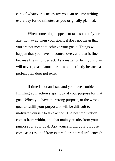care of whatever is necessary you can resume writing every day for 60 minutes, as you originally planned.

When something happens to take some of your attention away from your goals, it does not mean that you are not meant to achieve your goals. Things will happen that you have no control over, and that is fine because life is not perfect. As a matter of fact, your plan will never go as planned or turn out perfectly because a perfect plan does not exist.

If time is not an issue and you have trouble fulfilling your action steps, look at your purpose for that goal. When you have the wrong purpose, or the wrong goal to fulfill your purpose, it will be difficult to motivate yourself to take action. The best motivation comes from within, and that mainly results from your purpose for your goal. Ask yourself, did your purpose come as a result of from external or internal influences?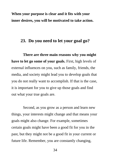**When your purpose is clear and it fits with your inner desires, you will be motivated to take action.**

#### **23. Do you need to let your goal go?**

**There are three main reasons why you might have to let go some of your goals.** First, high levels of external influences on you, such as family, friends, the media, and society might lead you to develop goals that you do not really want to accomplish. If that is the case, it is important for you to give up those goals and find out what your true goals are.

Second, as you grow as a person and learn new things, your interests might change and that means your goals might also change. For example, sometimes certain goals might have been a good fit for you in the past, but they might not be a good fit in your current or future life. Remember, you are constantly changing,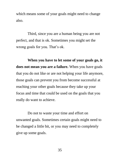which means some of your goals might need to change also.

Third, since you are a human being you are not perfect, and that is ok. Sometimes you might set the wrong goals for you. That's ok.

**When you have to let some of your goals go, it does not mean you are a failure.** When you have goals that you do not like or are not helping your life anymore, those goals can prevent you from become successful at reaching your other goals because they take up your focus and time that could be used on the goals that you really do want to achieve.

Do not to waste your time and effort on unwanted goals. Sometimes certain goals might need to be changed a little bit, or you may need to completely give up some goals.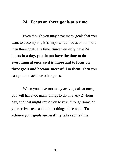#### **24. Focus on three goals at a time**

Even though you may have many goals that you want to accomplish, it is important to focus on no more than three goals at a time. **Since you only have 24 hours in a day, you do not have the time to do everything at once, so it is important to focus on three goals and become successful in them.** Then you can go on to achieve other goals.

When you have too many active goals at once, you will have too many things to do in every 24-hour day, and that might cause you to rush through some of your active steps and not get things done well. **To achieve your goals successfully takes some time.**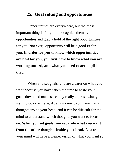#### **25. Goal setting and opportunities**

Opportunities are everywhere, but the most important thing is for you to recognize them as opportunities and grab a hold of the right opportunities for you. Not every opportunity will be a good fit for you. **In order for you to know which opportunities are best for you, you first have to know what you are working toward, and what you need to accomplish that.**

When you set goals, you are clearer on what you want because you have taken the time to write your goals down and make sure they really express what you want to do or achieve. At any moment you have many thoughts inside your head, and it can be difficult for the mind to understand which thoughts you want to focus on. **When you set goals, you separate what you want from the other thoughts inside your head.** As a result, your mind will have a clearer vision of what you want so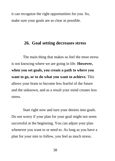it can recognize the right opportunities for you. So, make sure your goals are as clear as possible.

#### **26. Goal setting decreases stress**

The main thing that makes us feel the most stress is not knowing where we are going in life. **However, when you set goals, you create a path to where you want to go, or to do what you want to achieve.** This allows your brain to become less fearful of the future and the unknown, and as a result your mind creates less stress.

Start right now and turn your desires into goals. Do not worry if your plan for your goal might not seem successful at the beginning. You can adjust your plan whenever you want to or need to. As long as you have a plan for your min to follow, you feel as much stress.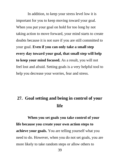In addition, to keep your stress level low it is important for you to keep moving toward your goal. When you put your goal on hold for too long by not taking action to move forward, your mind starts to create doubts because it is not sure if you are still committed to your goal. **Even if you can only take a small step every day toward your goal, that small step will help to keep your mind focused.** As a result, you will not feel lost and afraid. Setting goals is a very helpful tool to help you decrease your worries, fear and stress.

#### **27. Goal setting and being in control of your life**

**When you set goals you take control of your life because you create your own action steps to achieve your goals.** You are telling yourself what you need to do. However, when you do not set goals, you are more likely to take random steps or allow others to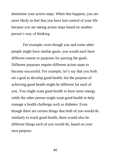determine your action steps. When that happens, you are more likely to feel that you have lost control of your life because you are taking action steps based on another person's way of thinking.

For example, even though you and some other people might have similar goals, you would each have different reason or purposes for pursing the goals. Different purposes require different action steps to become successful. For example, let's say that you both set a goal to develop good health, but the purpose of achieving good health might be different for each of you. You might want good health to have more energy while the other person might want good health to help manage a health challenge such as diabetes. Even though there are certain things that both of you would do similarly to reach good health, there would also be different things each of you would do, based on your own purpose.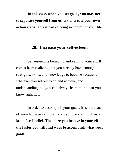**In this case, when you set goals, you may need to separate yourself from others to create your own action steps.** This is part of being in control of your life.

#### **28. Increase your self-esteem**

Self-esteem is believing and valuing yourself. It comes from realizing that you already have enough strengths, skills, and knowledge to become successful in whatever you set out to do and achieve, and understanding that you can always learn more than you know right now.

In order to accomplish your goals, it is not a lack of knowledge or skill that holds you back as much as a lack of self-belief. **The more you believe in yourself the faster you will find ways to accomplish what your goals.**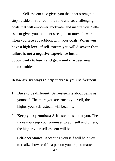Self-esteem also gives you the inner strength to step outside of your comfort zone and set challenging goals that will empower, motivate, and inspire you. Selfesteem gives you the inner strengths to move forward when you face a roadblock with your goals. **When you have a high level of self-esteem you will discover that failure is not a negative experience but an opportunity to learn and grow and discover new opportunities.** 

**Below are six ways to help increase your self-esteem:**

- 1. **Dare to be different!** Self-esteem is about being as yourself. The more you are true to yourself, the higher your self-esteem will become.
- 2. **Keep your promises:** Self-esteem is about you. The more you keep your promises to yourself and others, the higher your self-esteem will be.
- 3. **Self-acceptance:** Accepting yourself will help you to realize how terrific a person you are, no matter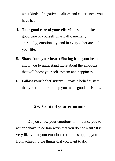what kinds of negative qualities and experiences you have had.

- 4. **Take good care of yourself:** Make sure to take good care of yourself physically, mentally, spiritually, emotionally, and in every other area of your life.
- 5. **Share from your heart:** Sharing from your heart allow you to understand more about the emotions that will boost your self-esteem and happiness.
- 6. **Follow your belief system:** Create a belief system that you can refer to help you make good decisions.

#### **29. Control your emotions**

Do you allow your emotions to influence you to act or behave in certain ways that you do not want? It is very likely that your emotions could be stopping you from achieving the things that you want to do.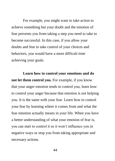For example, you might want to take action to achieve something but your doubt and the emotion of fear prevents you from taking a step you need to take to become successful. In this case, if you allow your doubts and fear to take control of your choices and behaviors, you would have a more difficult time achieving your goals.

**Learn how to control your emotions and do not let them control you.** For example, if you know that your anger emotion tends to control you, learn how to control your anger because that emotion is not helping you. It is the same with your fear. Learn how to control your fear by learning where it comes from and what the fear emotion actually means in your life. When you have a better understanding of what your emotion of fear is, you can start to control it so it won't influence you in negative ways or stop you from taking appropriate and necessary actions.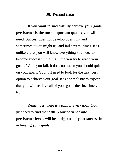#### **30. Persistence**

**If you want to successfully achieve your goals, persistence is the most important quality you will need.** Success does not develop overnight and sometimes it you might try and fail several times. It is unlikely that you will know everything you need to become successful the first time you try to reach your goals. When you fail, it does not mean you should quit on your goals. You just need to look for the next best option to achieve your goal. It is not realistic to expect that you will achieve all of your goals the first time you try.

Remember, there is a path to every goal. You just need to find that path. **Your patience and persistence levels will be a big part of your success in achieving your goals.**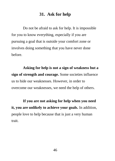#### **31. Ask for help**

Do not be afraid to ask for help. It is impossible for you to know everything, especially if you are pursuing a goal that is outside your comfort zone or involves doing something that you have never done before.

**Asking for help is not a sign of weakness but a sign of strength and courage.** Some societies influence us to hide our weaknesses. However, in order to overcome our weaknesses, we need the help of others.

**If you are not asking for help when you need it, you are unlikely to achieve your goals.** In addition, people love to help because that is just a very human trait.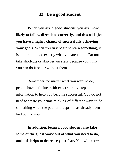#### **32. Be a good student**

**When you are a good student, you are more likely to follow directions correctly, and this will give you have a higher chance of successfully achieving your goals.** When you first begin to learn something, it is important to do exactly what you are taught. Do not take shortcuts or skip certain steps because you think you can do it better without them.

Remember, no matter what you want to do, people have left clues with exact step-by-step information to help you become successful. You do not need to waste your time thinking of different ways to do something when the path or blueprint has already been laid out for you.

**In addition, being a good student also take some of the guess work out of what you need to do, and this helps to decrease your fear.** You will know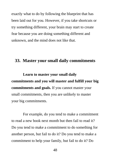exactly what to do by following the blueprint that has been laid out for you. However, if you take shortcuts or try something different, your brain may start to create fear because you are doing something different and unknown, and the mind does not like that.

#### **33. Master your small daily commitments**

**Learn to master your small daily commitments and you will master and fulfill your big commitments and goals.** If you cannot master your small commitments, then you are unlikely to master your big commitments.

For example, do you tend to make a commitment to read a new book next month but then fail to read it? Do you tend to make a commitment to do something for another person, but fail to do it? Do you tend to make a commitment to help your family, but fail to do it? Do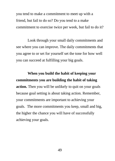you tend to make a commitment to meet up with a friend, but fail to do so? Do you tend to a make commitment to exercise twice per week, but fail to do it?

Look through your small daily commitments and see where you can improve. The daily commitments that you agree to or set for yourself set the tone for how well you can succeed at fulfilling your big goals.

**When you build the habit of keeping your commitments you are building the habit of taking action.** Then you will be unlikely to quit on your goals because goal setting is about taking action. Remember, your commitments are important to achieving your goals. The more commitments you keep, small and big, the higher the chance you will have of successfully achieving your goals.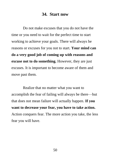#### **34. Start now**

Do not make excuses that you do not have the time or you need to wait for the perfect time to start working to achieve your goals. There will always be reasons or excuses for you not to start. **Your mind can do a very good job of coming up with reasons and excuse not to do something.** However, they are just excuses. It is important to become aware of them and move past them.

Realize that no matter what you want to accomplish the fear of failing will always be there—but that does not mean failure will actually happen. **If you want to decrease your fear, you have to take action.** Action conquers fear. The more action you take, the less fear you will have.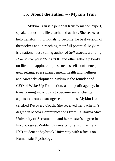#### **35. About the author --- Mykim Tran**

Mykim Tran is a personal transformation expert, speaker, educator, life coach, and author. She seeks to help transform individuals to become the best version of themselves and in reaching their full potential. Mykim is a national best-selling author of *Self-Esteem Building: How to live your life as YOU* and other self-help books on life and happiness topics such as self-confidence, goal setting, stress management, health and wellness, and career development. Mykim is the founder and CEO of Wake-Up Foundation, a non-profit agency, in transforming individuals to become social change agents to promote stronger communities. Mykim is a certified Recovery Coach. She received her bachelor's degree in Media Communications from California State University of Sacramento, and her master's degree in Psychology at Walden University. She is currently a PhD student at Saybrook University with a focus on Humanistic Psychology.